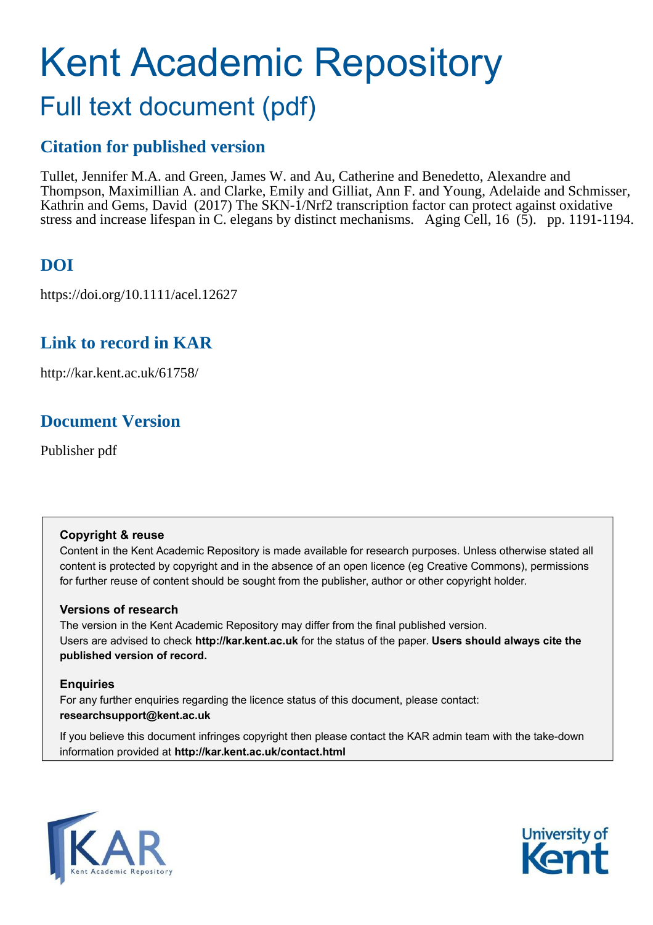# Kent Academic Repository

## Full text document (pdf)

## **Citation for published version**

Tullet, Jennifer M.A. and Green, James W. and Au, Catherine and Benedetto, Alexandre and Thompson, Maximillian A. and Clarke, Emily and Gilliat, Ann F. and Young, Adelaide and Schmisser, Kathrin and Gems, David (2017) The SKN-1/Nrf2 transcription factor can protect against oxidative stress and increase lifespan in C. elegans by distinct mechanisms. Aging Cell, 16 (5). pp. 1191-1194.

## **DOI**

https://doi.org/10.1111/acel.12627

## **Link to record in KAR**

http://kar.kent.ac.uk/61758/

## **Document Version**

Publisher pdf

## **Copyright & reuse**

Content in the Kent Academic Repository is made available for research purposes. Unless otherwise stated all content is protected by copyright and in the absence of an open licence (eg Creative Commons), permissions for further reuse of content should be sought from the publisher, author or other copyright holder.

## **Versions of research**

The version in the Kent Academic Repository may differ from the final published version. Users are advised to check **http://kar.kent.ac.uk** for the status of the paper. **Users should always cite the published version of record.**

## **Enquiries**

For any further enquiries regarding the licence status of this document, please contact: **researchsupport@kent.ac.uk**

If you believe this document infringes copyright then please contact the KAR admin team with the take-down information provided at **http://kar.kent.ac.uk/contact.html**



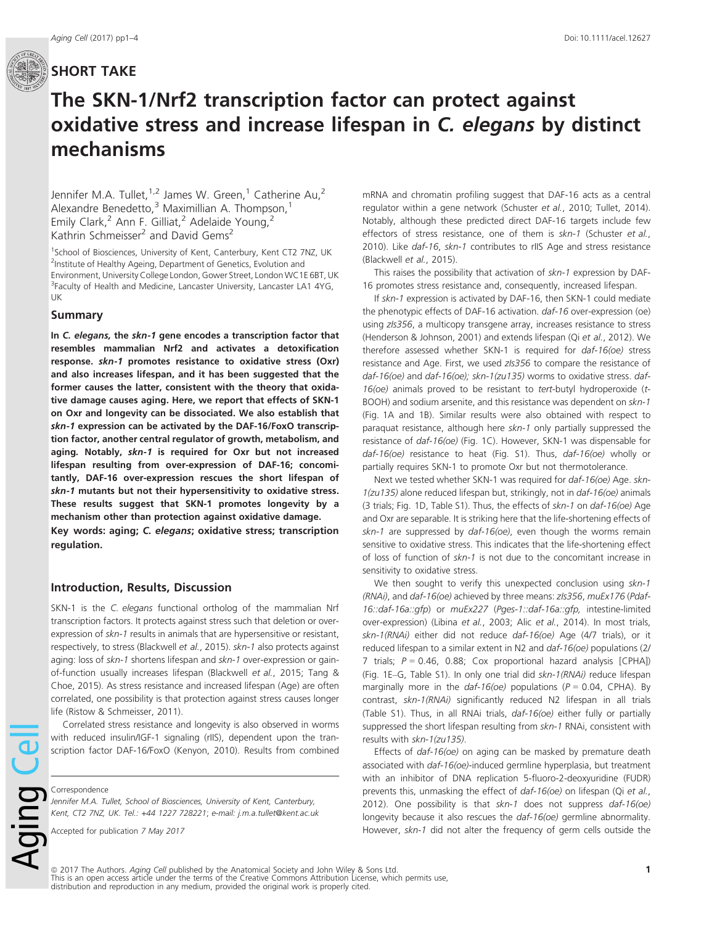## The SKN-1/Nrf2 transcription factor can protect against oxidative stress and increase lifespan in C. elegans by distinct mechanisms

Jennifer M.A. Tullet,  $1,2$  James W. Green, <sup>1</sup> Catherine Au, <sup>2</sup> Alexandre Benedetto,<sup>3</sup> Maximillian A. Thompson,<sup>1</sup> Emily Clark,<sup>2</sup> Ann F. Gilliat,<sup>2</sup> Adelaide Young,<sup>2</sup> Kathrin Schmeisser<sup>2</sup> and David Gems<sup>2</sup>

<sup>1</sup>School of Biosciences, University of Kent, Canterbury, Kent CT2 7NZ, UK <sup>2</sup>Institute of Healthy Ageing, Department of Genetics, Evolution and Environment, University College London, Gower Street, London WC1E 6BT, UK <sup>3</sup> Faculty of Health and Medicine, Lancaster University, Lancaster LA1 4YG, UK

#### Summary

In C. elegans, the skn-1 gene encodes a transcription factor that resembles mammalian Nrf2 and activates a detoxification response. skn-1 promotes resistance to oxidative stress (Oxr) and also increases lifespan, and it has been suggested that the former causes the latter, consistent with the theory that oxidative damage causes aging. Here, we report that effects of SKN-1 on Oxr and longevity can be dissociated. We also establish that skn-1 expression can be activated by the DAF-16/FoxO transcription factor, another central regulator of growth, metabolism, and aging. Notably, skn-1 is required for Oxr but not increased lifespan resulting from over-expression of DAF-16; concomitantly, DAF-16 over-expression rescues the short lifespan of skn-1 mutants but not their hypersensitivity to oxidative stress. These results suggest that SKN-1 promotes longevity by a mechanism other than protection against oxidative damage. Key words: aging; C. elegans; oxidative stress; transcription regulation.

#### Introduction, Results, Discussion

SKN-1 is the *C. elegans* functional ortholog of the mammalian Nrf transcription factors. It protects against stress such that deletion or overexpression of *skn-1* results in animals that are hypersensitive or resistant, respectively, to stress (Blackwell *et al.*, 2015). *skn-1* also protects against aging: loss of *skn-1* shortens lifespan and *skn-1* over-expression or gainof-function usually increases lifespan (Blackwell *et al.*, 2015; Tang & Choe, 2015). As stress resistance and increased lifespan (Age) are often correlated, one possibility is that protection against stress causes longer life (Ristow & Schmeisser, 2011).

Correlated stress resistance and longevity is also observed in worms with reduced insulin/IGF-1 signaling (rIIS), dependent upon the transcription factor DAF-16/FoxO (Kenyon, 2010). Results from combined

Correspondence

pd

*Jennifer M.A. Tullet, School of Biosciences, University of Kent, Canterbury, Kent, CT2 7NZ, UK. Tel.: +44 1227 728221*; *e-mail: j.m.a.tullet@kent.ac.uk*

Accepted for publication *7 May 2017*

mRNA and chromatin profiling suggest that DAF-16 acts as a central regulator within a gene network (Schuster *et al.*, 2010; Tullet, 2014). Notably, although these predicted direct DAF-16 targets include few effectors of stress resistance, one of them is *skn-1* (Schuster *et al.*, 2010). Like *daf-16*, *skn-1* contributes to rIIS Age and stress resistance (Blackwell *et al.*, 2015).

This raises the possibility that activation of *skn-1* expression by DAF-16 promotes stress resistance and, consequently, increased lifespan.

If *skn-1* expression is activated by DAF-16, then SKN-1 could mediate the phenotypic effects of DAF-16 activation. *daf-16* over-expression (oe) using *zIs356*, a multicopy transgene array, increases resistance to stress (Henderson & Johnson, 2001) and extends lifespan (Qi *et al.*, 2012). We therefore assessed whether SKN-1 is required for *daf-16(oe)* stress resistance and Age. First, we used *zIs356* to compare the resistance of *daf-16(oe)* and *daf-16(oe); skn-1(zu135)* worms to oxidative stress. *daf-16(oe)* animals proved to be resistant to *tert*-butyl hydroperoxide (*t*-BOOH) and sodium arsenite, and this resistance was dependent on *skn-1* (Fig. 1A and 1B). Similar results were also obtained with respect to paraquat resistance, although here *skn-1* only partially suppressed the resistance of *daf-16(oe)* (Fig. 1C). However, SKN-1 was dispensable for *daf-16(oe)* resistance to heat (Fig. S1). Thus, *daf-16(oe)* wholly or partially requires SKN-1 to promote Oxr but not thermotolerance.

Next we tested whether SKN-1 was required for *daf-16(oe)* Age. *skn-1(zu135)* alone reduced lifespan but, strikingly, not in *daf-16(oe)* animals (3 trials; Fig. 1D, Table S1). Thus, the effects of *skn-1* on *daf-16(oe)* Age and Oxr are separable. It is striking here that the life-shortening effects of *skn-1* are suppressed by *daf-16(oe)*, even though the worms remain sensitive to oxidative stress. This indicates that the life-shortening effect of loss of function of *skn-1* is not due to the concomitant increase in sensitivity to oxidative stress.

We then sought to verify this unexpected conclusion using *skn-1 (RNAi)*, and *daf-16(oe)* achieved by three means: *zIs356*, *muEx176* (*Pdaf-16::daf-16a::gfp*) or *muEx227* (*Pges-1::daf-16a::gfp,* intestine-limited over-expression) (Libina *et al.*, 2003; Alic *et al.*, 2014). In most trials, *skn-1(RNAi)* either did not reduce *daf-16(oe)* Age (4/7 trials), or it reduced lifespan to a similar extent in N2 and *daf-16(oe)* populations (2/ 7 trials; *P* = 0.46, 0.88; Cox proportional hazard analysis [CPHA]) (Fig. 1E–G, Table S1). In only one trial did *skn-1(RNAi)* reduce lifespan marginally more in the  $daf-16(oe)$  populations ( $P = 0.04$ , CPHA). By contrast, *skn-1(RNAi)* significantly reduced N2 lifespan in all trials (Table S1). Thus, in all RNAi trials, *daf-16(oe)* either fully or partially suppressed the short lifespan resulting from *skn-1* RNAi, consistent with results with *skn-1(zu135)*.

Effects of *daf-16(oe)* on aging can be masked by premature death associated with *daf-16(oe)*-induced germline hyperplasia, but treatment with an inhibitor of DNA replication 5-fluoro-2-deoxyuridine (FUDR) prevents this, unmasking the effect of *daf-16(oe)* on lifespan (Qi *et al.*, 2012). One possibility is that *skn-1* does not suppress *daf-16(oe)* longevity because it also rescues the *daf-16(oe)* germline abnormality. However, *skn-1* did not alter the frequency of germ cells outside the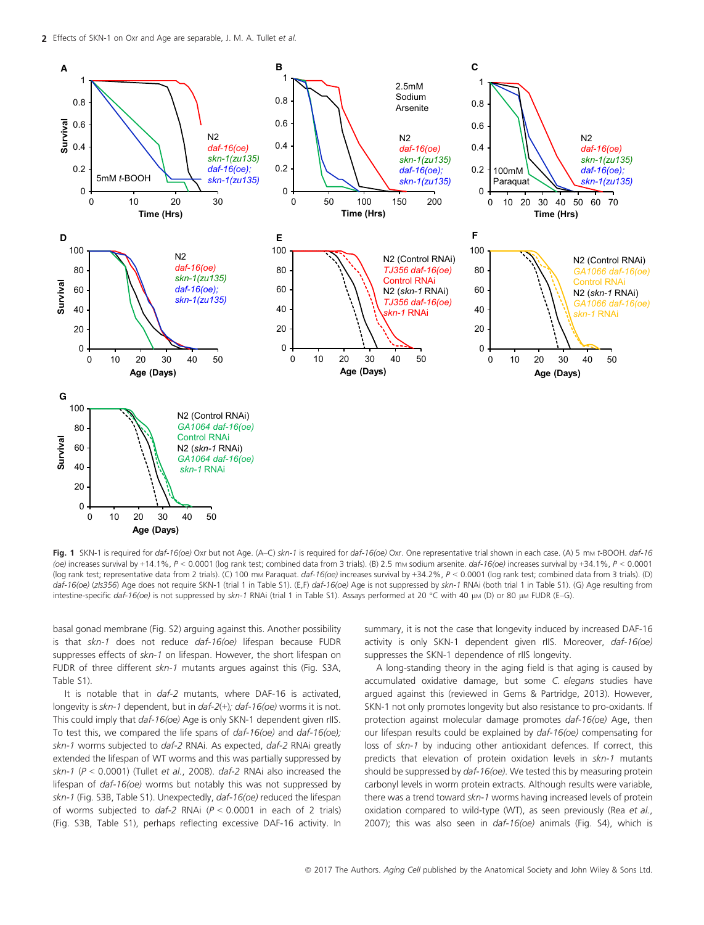

Fig. 1 SKN-1 is required for *daf-16(oe)* Oxr but not Age. (A–C) *skn-1* is required for *daf-16(oe)* Oxr. One representative trial shown in each case. (A) 5 m<sup>M</sup> *t*-BOOH. *daf-16 (oe)* increases survival by +14.1%, *P* < 0.0001 (log rank test; combined data from 3 trials). (B) 2.5 m<sup>M</sup> sodium arsenite. *daf-16(oe)* increases survival by +34.1%, *P* < 0.0001 (log rank test; representative data from 2 trials). (C) 100 m<sup>M</sup> Paraquat. *daf-16(oe)* increases survival by +34.2%, *P* < 0.0001 (log rank test; combined data from 3 trials). (D) *daf-16(oe)* (*zIs356*) Age does not require SKN-1 (trial 1 in Table S1). (E,F) *daf-16(oe)* Age is not suppressed by *skn-1* RNAi (both trial 1 in Table S1). (G) Age resulting from intestine-specific *daf-16(oe)* is not suppressed by *skn-1* RNAi (trial 1 in Table S1). Assays performed at 20 °C with 40 μM (D) or 80 μM FUDR (E–G).

basal gonad membrane (Fig. S2) arguing against this. Another possibility is that *skn-1* does not reduce *daf-16(oe)* lifespan because FUDR suppresses effects of *skn-1* on lifespan. However, the short lifespan on FUDR of three different *skn-1* mutants argues against this (Fig. S3A, Table S1).

It is notable that in *daf-2* mutants, where DAF-16 is activated, longevity is *skn-1* dependent, but in *daf-2*(+)*; daf-16(oe)* worms it is not. This could imply that *daf-16(oe)* Age is only SKN-1 dependent given rIIS. To test this, we compared the life spans of *daf-16(oe)* and *daf-16(oe); skn-1* worms subjected to *daf-2* RNAi. As expected, *daf-2* RNAi greatly extended the lifespan of WT worms and this was partially suppressed by *skn-1* (*P* < 0.0001) (Tullet *et al.*, 2008). *daf-2* RNAi also increased the lifespan of *daf-16(oe)* worms but notably this was not suppressed by *skn-1* (Fig. S3B, Table S1). Unexpectedly, *daf-16(oe)* reduced the lifespan of worms subjected to *daf-2* RNAi (*P* < 0.0001 in each of 2 trials) (Fig. S3B, Table S1), perhaps reflecting excessive DAF-16 activity. In summary, it is not the case that longevity induced by increased DAF-16 activity is only SKN-1 dependent given rIIS. Moreover, *daf-16(oe)* suppresses the SKN-1 dependence of rIIS longevity.

A long-standing theory in the aging field is that aging is caused by accumulated oxidative damage, but some *C. elegans* studies have argued against this (reviewed in Gems & Partridge, 2013). However, SKN-1 not only promotes longevity but also resistance to pro-oxidants. If protection against molecular damage promotes *daf-16(oe)* Age, then our lifespan results could be explained by *daf-16(oe)* compensating for loss of *skn-1* by inducing other antioxidant defences. If correct, this predicts that elevation of protein oxidation levels in *skn-1* mutants should be suppressed by *daf-16(oe)*. We tested this by measuring protein carbonyl levels in worm protein extracts. Although results were variable, there was a trend toward *skn-1* worms having increased levels of protein oxidation compared to wild-type (WT), as seen previously (Rea *et al.*, 2007); this was also seen in *daf-16(oe)* animals (Fig. S4), which is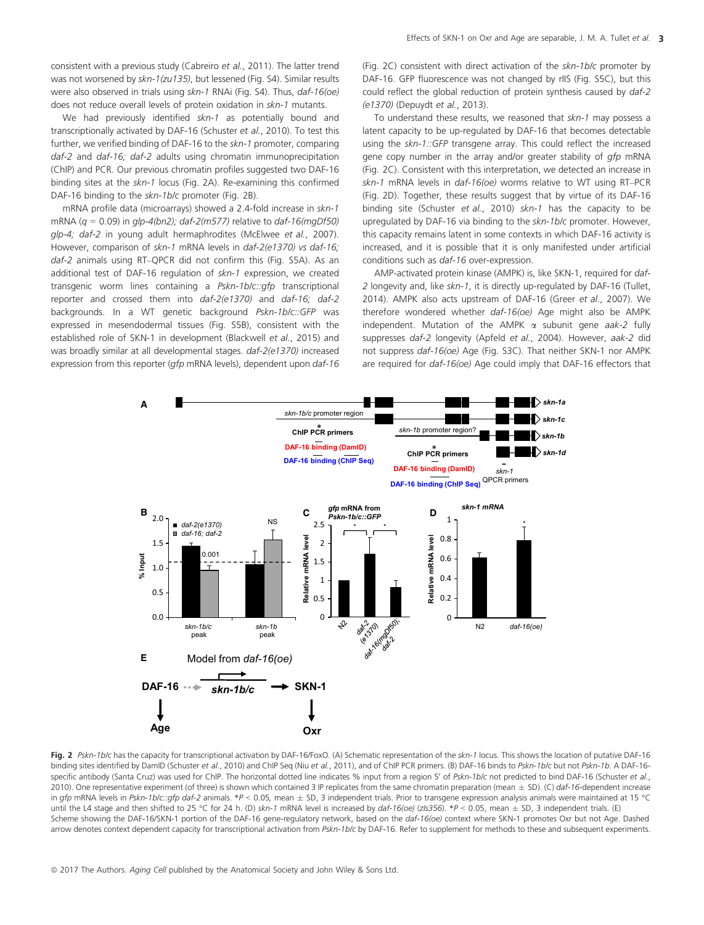consistent with a previous study (Cabreiro *et al.*, 2011). The latter trend was not worsened by *skn-1(zu135)*, but lessened (Fig. S4). Similar results were also observed in trials using *skn-1* RNAi (Fig. S4). Thus, *daf-16(oe)* does not reduce overall levels of protein oxidation in *skn-1* mutants.

We had previously identified *skn-1* as potentially bound and transcriptionally activated by DAF-16 (Schuster *et al.*, 2010). To test this further, we verified binding of DAF-16 to the *skn-1* promoter, comparing *daf-2* and *daf-16; daf-2* adults using chromatin immunoprecipitation (ChIP) and PCR. Our previous chromatin profiles suggested two DAF-16 binding sites at the *skn-1* locus (Fig. 2A). Re-examining this confirmed DAF-16 binding to the *skn-1b/c* promoter (Fig. 2B).

mRNA profile data (microarrays) showed a 2.4-fold increase in *skn-1* mRNA (*q* = 0.09) in *glp-4(bn2); daf-2(m577)* relative to *daf-16(mgDf50) glp-4; daf-2* in young adult hermaphrodites (McElwee *et al.*, 2007). However, comparison of *skn-1* mRNA levels in *daf-2(e1370) vs daf-16; daf-2* animals using RT–QPCR did not confirm this (Fig. S5A). As an additional test of DAF-16 regulation of *skn-1* expression, we created transgenic worm lines containing a *Pskn-1b/c::gfp* transcriptional reporter and crossed them into *daf-2(e1370)* and *daf-16; daf-2* backgrounds. In a WT genetic background *Pskn-1b/c::GFP* was expressed in mesendodermal tissues (Fig. S5B), consistent with the established role of SKN-1 in development (Blackwell *et al.*, 2015) and was broadly similar at all developmental stages. *daf-2(e1370)* increased expression from this reporter (*gfp* mRNA levels), dependent upon *daf-16* (Fig. 2C) consistent with direct activation of the *skn-1b/c* promoter by DAF-16. GFP fluorescence was not changed by rIIS (Fig. S5C), but this could reflect the global reduction of protein synthesis caused by *daf-2 (e1370)* (Depuydt *et al.*, 2013).

To understand these results, we reasoned that *skn-1* may possess a latent capacity to be up-regulated by DAF-16 that becomes detectable using the *skn-1::GFP* transgene array. This could reflect the increased gene copy number in the array and/or greater stability of *gfp* mRNA (Fig. 2C). Consistent with this interpretation, we detected an increase in *skn-1* mRNA levels in *daf-16(oe)* worms relative to WT using RT–PCR (Fig. 2D). Together, these results suggest that by virtue of its DAF-16 binding site (Schuster *et al.*, 2010) *skn-1* has the capacity to be upregulated by DAF-16 via binding to the *skn-1b/c* promoter. However, this capacity remains latent in some contexts in which DAF-16 activity is increased, and it is possible that it is only manifested under artificial conditions such as *daf-16* over-expression.

AMP-activated protein kinase (AMPK) is, like SKN-1, required for *daf-2* longevity and, like *skn-1*, it is directly up-regulated by DAF-16 (Tullet, 2014). AMPK also acts upstream of DAF-16 (Greer *et al.*, 2007). We therefore wondered whether *daf-16(oe)* Age might also be AMPK independent. Mutation of the AMPK a subunit gene *aak-2* fully suppresses *daf-2* longevity (Apfeld *et al.*, 2004). However, *aak-2* did not suppress *daf-16(oe)* Age (Fig. S3C). That neither SKN-1 nor AMPK are required for *daf-16(oe)* Age could imply that DAF-16 effectors that



Fig. 2 *Pskn-1b/c* has the capacity for transcriptional activation by DAF-16/FoxO. (A) Schematic representation of the *skn-1* locus. This shows the location of putative DAF-16 binding sites identified by DamID (Schuster *et al.*, 2010) and ChIP Seq (Niu *et al.*, 2011), and of ChIP PCR primers. (B) DAF-16 binds to *Pskn-1b/c* but not *Pskn-1b*. A DAF-16 specific antibody (Santa Cruz) was used for ChIP. The horizontal dotted line indicates % input from a region 5' of *Pskn-1b/c* not predicted to bind DAF-16 (Schuster et al., 2010). One representative experiment (of three) is shown which contained 3 IP replicates from the same chromatin preparation (mean - SD). (C) *daf-16*-dependent increase in gfp mRNA levels in Pskn-1b/c::gfp daf-2 animals. \*P < 0.05, mean  $\pm$  SD, 3 independent trials. Prior to transgene expression analysis animals were maintained at 15 °C until the L4 stage and then shifted to 25 °C for 24 h. (D) skn-1 mRNA level is increased by daf-16(oe) (zls356). \*P < 0.05, mean  $\pm$  SD, 3 independent trials. (E) Scheme showing the DAF-16/SKN-1 portion of the DAF-16 gene-regulatory network, based on the *daf-16(oe)* context where SKN-1 promotes Oxr but not Age. Dashed arrow denotes context dependent capacity for transcriptional activation from *Pskn-1b/c* by DAF-16*.* Refer to supplement for methods to these and subsequent experiments.